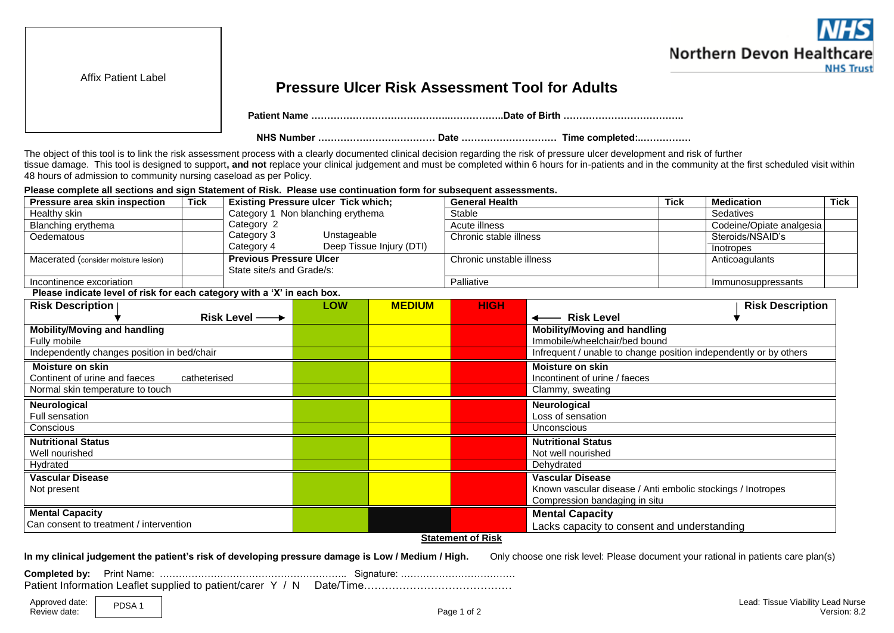

Affix Patient Label

## **Pressure Ulcer Risk Assessment Tool for Adults**

 **Patient Name ……………………………………..……………..Date of Birth ………………………………..**

 **NHS Number …………………….………… Date ………………………… Time completed:..……………**

The object of this tool is to link the risk assessment process with a clearly documented clinical decision regarding the risk of pressure ulcer development and risk of further tissue damage. This tool is designed to support**, and not** replace your clinical judgement and must be completed within 6 hours for in-patients and in the community at the first scheduled visit within 48 hours of admission to community nursing caseload as per Policy.

**Please complete all sections and sign Statement of Risk. Please use continuation form for subsequent assessments.**

| Pressure area skin inspection                                           | <b>Tick</b>  |                                | <b>Existing Pressure ulcer Tick which;</b> |                          | <b>General Health</b>         | <b>Tick</b><br><b>Medication</b>                                  |                    |                         |  |  |  |  |  |  |
|-------------------------------------------------------------------------|--------------|--------------------------------|--------------------------------------------|--------------------------|-------------------------------|-------------------------------------------------------------------|--------------------|-------------------------|--|--|--|--|--|--|
| Healthy skin                                                            |              |                                | Category 1 Non blanching erythema          |                          | Stable                        |                                                                   |                    | Sedatives               |  |  |  |  |  |  |
| Blanching erythema                                                      |              | Category 2                     |                                            |                          | Codeine/Opiate analgesia      |                                                                   |                    |                         |  |  |  |  |  |  |
| Oedematous                                                              |              | Category 3                     | Unstageable                                |                          | Chronic stable illness        | Steroids/NSAID's                                                  |                    |                         |  |  |  |  |  |  |
|                                                                         |              | Category 4                     |                                            | Deep Tissue Injury (DTI) |                               |                                                                   |                    | Inotropes               |  |  |  |  |  |  |
| Macerated (consider moisture lesion)                                    |              | <b>Previous Pressure Ulcer</b> |                                            |                          | Chronic unstable illness      | Anticoagulants                                                    |                    |                         |  |  |  |  |  |  |
|                                                                         |              | State site/s and Grade/s:      |                                            |                          |                               |                                                                   |                    |                         |  |  |  |  |  |  |
| Incontinence excoriation                                                |              |                                |                                            |                          | Palliative                    |                                                                   | Immunosuppressants |                         |  |  |  |  |  |  |
| Please indicate level of risk for each category with a 'X' in each box. |              |                                |                                            |                          |                               |                                                                   |                    |                         |  |  |  |  |  |  |
| <b>Risk Description</b>                                                 |              |                                | <b>LOW</b>                                 | <b>MEDIUM</b>            | <b>HIGH</b>                   |                                                                   |                    | <b>Risk Description</b> |  |  |  |  |  |  |
|                                                                         |              | Risk Level $\longrightarrow$   |                                            |                          |                               | <b>Risk Level</b>                                                 |                    |                         |  |  |  |  |  |  |
| <b>Mobility/Moving and handling</b>                                     |              |                                |                                            |                          |                               | <b>Mobility/Moving and handling</b>                               |                    |                         |  |  |  |  |  |  |
| Fully mobile                                                            |              |                                |                                            |                          |                               | Immobile/wheelchair/bed bound                                     |                    |                         |  |  |  |  |  |  |
| Independently changes position in bed/chair                             |              |                                |                                            |                          |                               | Infrequent / unable to change position independently or by others |                    |                         |  |  |  |  |  |  |
| <b>Moisture on skin</b>                                                 |              |                                |                                            |                          |                               | Moisture on skin                                                  |                    |                         |  |  |  |  |  |  |
| Continent of urine and faeces                                           | catheterised |                                |                                            |                          | Incontinent of urine / faeces |                                                                   |                    |                         |  |  |  |  |  |  |
| Normal skin temperature to touch                                        |              |                                |                                            |                          |                               | Clammy, sweating                                                  |                    |                         |  |  |  |  |  |  |
| Neurological                                                            |              |                                |                                            |                          |                               | Neurological                                                      |                    |                         |  |  |  |  |  |  |
| Full sensation                                                          |              |                                |                                            |                          |                               | Loss of sensation                                                 |                    |                         |  |  |  |  |  |  |
| Conscious                                                               |              |                                |                                            |                          |                               | Unconscious                                                       |                    |                         |  |  |  |  |  |  |
| <b>Nutritional Status</b>                                               |              |                                |                                            |                          |                               | <b>Nutritional Status</b>                                         |                    |                         |  |  |  |  |  |  |
| Well nourished                                                          |              |                                |                                            |                          |                               | Not well nourished                                                |                    |                         |  |  |  |  |  |  |
| Hydrated                                                                |              |                                |                                            |                          |                               | Dehydrated                                                        |                    |                         |  |  |  |  |  |  |
| <b>Vascular Disease</b>                                                 |              |                                |                                            |                          |                               | <b>Vascular Disease</b>                                           |                    |                         |  |  |  |  |  |  |
| Not present                                                             |              |                                |                                            |                          |                               | Known vascular disease / Anti embolic stockings / Inotropes       |                    |                         |  |  |  |  |  |  |
|                                                                         |              |                                |                                            |                          |                               | Compression bandaging in situ                                     |                    |                         |  |  |  |  |  |  |
| <b>Mental Capacity</b>                                                  |              |                                |                                            |                          |                               | <b>Mental Capacity</b>                                            |                    |                         |  |  |  |  |  |  |
| Can consent to treatment / intervention                                 |              |                                |                                            |                          |                               | Lacks capacity to consent and understanding                       |                    |                         |  |  |  |  |  |  |
|                                                                         |              |                                |                                            |                          | <b>Statement of Risk</b>      |                                                                   |                    |                         |  |  |  |  |  |  |
|                                                                         |              |                                |                                            |                          |                               |                                                                   |                    |                         |  |  |  |  |  |  |

**In my clinical judgement the patient's risk of developing pressure damage is Low / Medium / High.** Only choose one risk level: Please document your rational in patients care plan(s)

**Completed by:** Print Name: ………………………………………………….. Signature: ………………………………

Patient Information Leaflet supplied to patient/carer Y / N Date/Time……………………………………